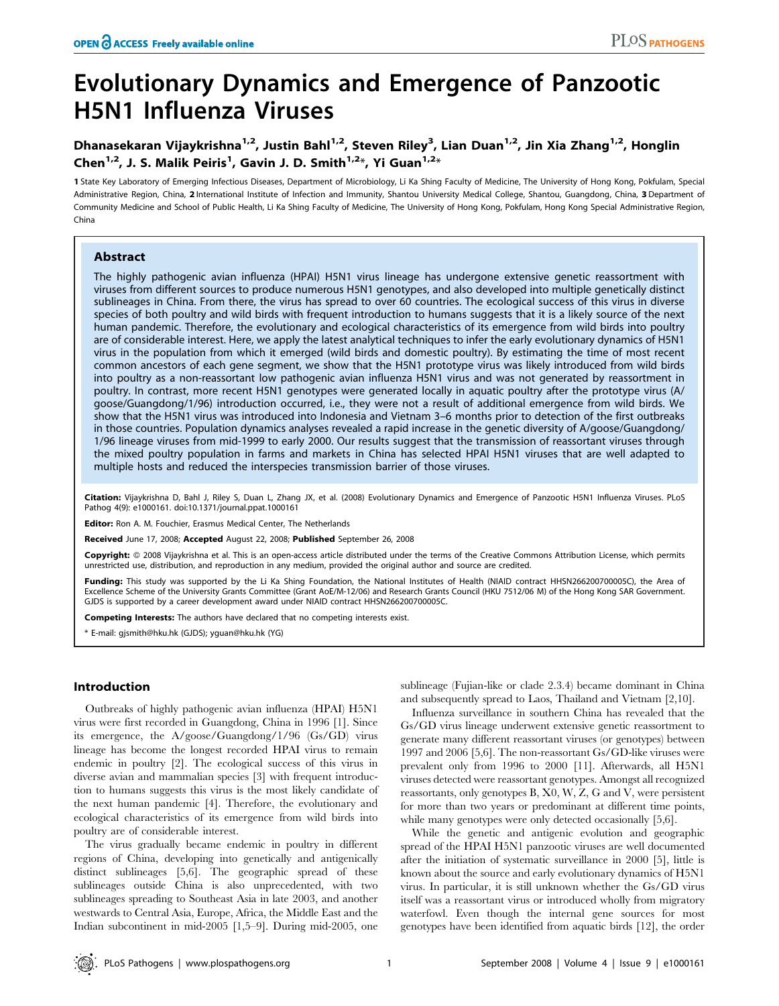# Evolutionary Dynamics and Emergence of Panzootic H5N1 Influenza Viruses

Dhanasekaran Vijaykrishna<sup>1,2</sup>, Justin Bahl<sup>1,2</sup>, Steven Riley<sup>3</sup>, Lian Duan<sup>1,2</sup>, Jin Xia Zhang<sup>1,2</sup>, Honglin Chen $^{1,2}$ , J. S. Malik Peiris<sup>1</sup>, Gavin J. D. Smith $^{1,2}$ \*, Yi Guan $^{1,2}$ \*

1 State Key Laboratory of Emerging Infectious Diseases, Department of Microbiology, Li Ka Shing Faculty of Medicine, The University of Hong Kong, Pokfulam, Special Administrative Region, China, 2 International Institute of Infection and Immunity, Shantou University Medical College, Shantou, Guangdong, China, 3 Department of Community Medicine and School of Public Health, Li Ka Shing Faculty of Medicine, The University of Hong Kong, Pokfulam, Hong Kong Special Administrative Region, China

## Abstract

The highly pathogenic avian influenza (HPAI) H5N1 virus lineage has undergone extensive genetic reassortment with viruses from different sources to produce numerous H5N1 genotypes, and also developed into multiple genetically distinct sublineages in China. From there, the virus has spread to over 60 countries. The ecological success of this virus in diverse species of both poultry and wild birds with frequent introduction to humans suggests that it is a likely source of the next human pandemic. Therefore, the evolutionary and ecological characteristics of its emergence from wild birds into poultry are of considerable interest. Here, we apply the latest analytical techniques to infer the early evolutionary dynamics of H5N1 virus in the population from which it emerged (wild birds and domestic poultry). By estimating the time of most recent common ancestors of each gene segment, we show that the H5N1 prototype virus was likely introduced from wild birds into poultry as a non-reassortant low pathogenic avian influenza H5N1 virus and was not generated by reassortment in poultry. In contrast, more recent H5N1 genotypes were generated locally in aquatic poultry after the prototype virus (A/ goose/Guangdong/1/96) introduction occurred, i.e., they were not a result of additional emergence from wild birds. We show that the H5N1 virus was introduced into Indonesia and Vietnam 3–6 months prior to detection of the first outbreaks in those countries. Population dynamics analyses revealed a rapid increase in the genetic diversity of A/goose/Guangdong/ 1/96 lineage viruses from mid-1999 to early 2000. Our results suggest that the transmission of reassortant viruses through the mixed poultry population in farms and markets in China has selected HPAI H5N1 viruses that are well adapted to multiple hosts and reduced the interspecies transmission barrier of those viruses.

Citation: Vijaykrishna D, Bahl J, Riley S, Duan L, Zhang JX, et al. (2008) Evolutionary Dynamics and Emergence of Panzootic H5N1 Influenza Viruses. PLoS Pathog 4(9): e1000161. doi:10.1371/journal.ppat.1000161

Editor: Ron A. M. Fouchier, Erasmus Medical Center, The Netherlands

Received June 17, 2008; Accepted August 22, 2008; Published September 26, 2008

Copyright: @ 2008 Vijaykrishna et al. This is an open-access article distributed under the terms of the Creative Commons Attribution License, which permits unrestricted use, distribution, and reproduction in any medium, provided the original author and source are credited.

Funding: This study was supported by the Li Ka Shing Foundation, the National Institutes of Health (NIAID contract HHSN266200700005C), the Area of Excellence Scheme of the University Grants Committee (Grant AoE/M-12/06) and Research Grants Council (HKU 7512/06 M) of the Hong Kong SAR Government. GJDS is supported by a career development award under NIAID contract HHSN266200700005C.

Competing Interests: The authors have declared that no competing interests exist.

\* E-mail: gjsmith@hku.hk (GJDS); yguan@hku.hk (YG)

## Introduction

Outbreaks of highly pathogenic avian influenza (HPAI) H5N1 virus were first recorded in Guangdong, China in 1996 [1]. Since its emergence, the A/goose/Guangdong/1/96 (Gs/GD) virus lineage has become the longest recorded HPAI virus to remain endemic in poultry [2]. The ecological success of this virus in diverse avian and mammalian species [3] with frequent introduction to humans suggests this virus is the most likely candidate of the next human pandemic [4]. Therefore, the evolutionary and ecological characteristics of its emergence from wild birds into poultry are of considerable interest.

The virus gradually became endemic in poultry in different regions of China, developing into genetically and antigenically distinct sublineages [5,6]. The geographic spread of these sublineages outside China is also unprecedented, with two sublineages spreading to Southeast Asia in late 2003, and another westwards to Central Asia, Europe, Africa, the Middle East and the Indian subcontinent in mid-2005 [1,5–9]. During mid-2005, one sublineage (Fujian-like or clade 2.3.4) became dominant in China and subsequently spread to Laos, Thailand and Vietnam [2,10].

Influenza surveillance in southern China has revealed that the Gs/GD virus lineage underwent extensive genetic reassortment to generate many different reassortant viruses (or genotypes) between 1997 and 2006 [5,6]. The non-reassortant Gs/GD-like viruses were prevalent only from 1996 to 2000 [11]. Afterwards, all H5N1 viruses detected were reassortant genotypes. Amongst all recognized reassortants, only genotypes B, X0, W, Z, G and V, were persistent for more than two years or predominant at different time points, while many genotypes were only detected occasionally [5,6].

While the genetic and antigenic evolution and geographic spread of the HPAI H5N1 panzootic viruses are well documented after the initiation of systematic surveillance in 2000 [5], little is known about the source and early evolutionary dynamics of H5N1 virus. In particular, it is still unknown whether the Gs/GD virus itself was a reassortant virus or introduced wholly from migratory waterfowl. Even though the internal gene sources for most genotypes have been identified from aquatic birds [12], the order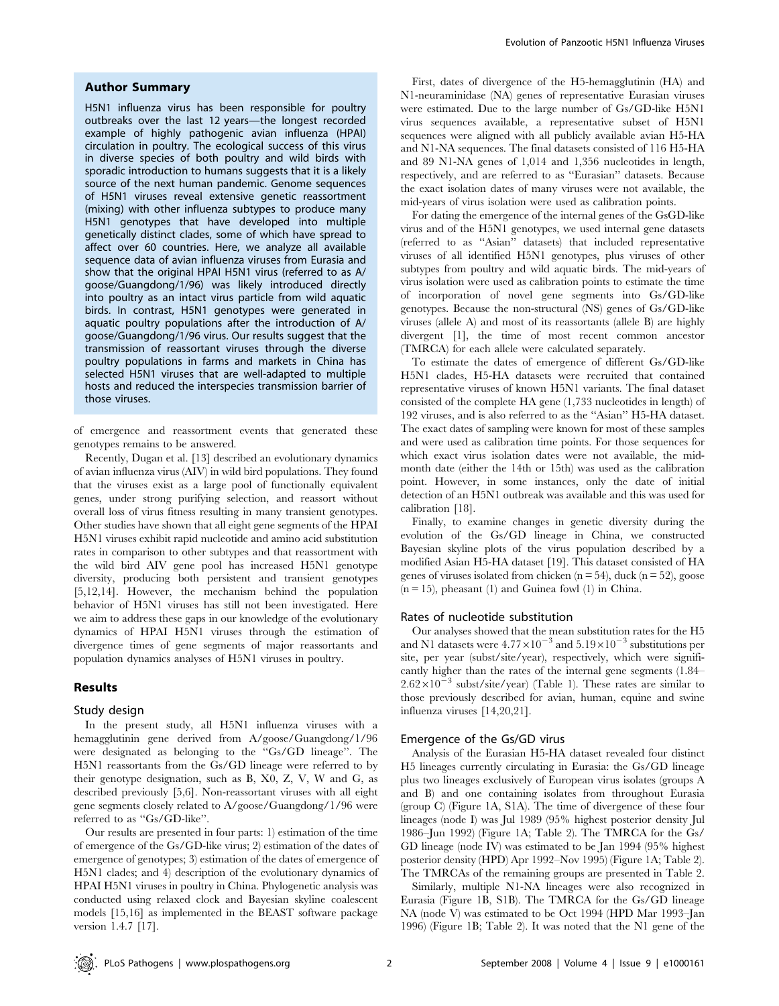#### Author Summary

H5N1 influenza virus has been responsible for poultry outbreaks over the last 12 years—the longest recorded example of highly pathogenic avian influenza (HPAI) circulation in poultry. The ecological success of this virus in diverse species of both poultry and wild birds with sporadic introduction to humans suggests that it is a likely source of the next human pandemic. Genome sequences of H5N1 viruses reveal extensive genetic reassortment (mixing) with other influenza subtypes to produce many H5N1 genotypes that have developed into multiple genetically distinct clades, some of which have spread to affect over 60 countries. Here, we analyze all available sequence data of avian influenza viruses from Eurasia and show that the original HPAI H5N1 virus (referred to as A/ goose/Guangdong/1/96) was likely introduced directly into poultry as an intact virus particle from wild aquatic birds. In contrast, H5N1 genotypes were generated in aquatic poultry populations after the introduction of A/ goose/Guangdong/1/96 virus. Our results suggest that the transmission of reassortant viruses through the diverse poultry populations in farms and markets in China has selected H5N1 viruses that are well-adapted to multiple hosts and reduced the interspecies transmission barrier of those viruses.

of emergence and reassortment events that generated these genotypes remains to be answered.

Recently, Dugan et al. [13] described an evolutionary dynamics of avian influenza virus (AIV) in wild bird populations. They found that the viruses exist as a large pool of functionally equivalent genes, under strong purifying selection, and reassort without overall loss of virus fitness resulting in many transient genotypes. Other studies have shown that all eight gene segments of the HPAI H5N1 viruses exhibit rapid nucleotide and amino acid substitution rates in comparison to other subtypes and that reassortment with the wild bird AIV gene pool has increased H5N1 genotype diversity, producing both persistent and transient genotypes [5,12,14]. However, the mechanism behind the population behavior of H5N1 viruses has still not been investigated. Here we aim to address these gaps in our knowledge of the evolutionary dynamics of HPAI H5N1 viruses through the estimation of divergence times of gene segments of major reassortants and population dynamics analyses of H5N1 viruses in poultry.

#### Results

#### Study design

In the present study, all H5N1 influenza viruses with a hemagglutinin gene derived from A/goose/Guangdong/1/96 were designated as belonging to the ''Gs/GD lineage''. The H5N1 reassortants from the Gs/GD lineage were referred to by their genotype designation, such as B, X0, Z, V, W and G, as described previously [5,6]. Non-reassortant viruses with all eight gene segments closely related to A/goose/Guangdong/1/96 were referred to as ''Gs/GD-like''.

Our results are presented in four parts: 1) estimation of the time of emergence of the Gs/GD-like virus; 2) estimation of the dates of emergence of genotypes; 3) estimation of the dates of emergence of H5N1 clades; and 4) description of the evolutionary dynamics of HPAI H5N1 viruses in poultry in China. Phylogenetic analysis was conducted using relaxed clock and Bayesian skyline coalescent models [15,16] as implemented in the BEAST software package version 1.4.7 [17].

First, dates of divergence of the H5-hemagglutinin (HA) and N1-neuraminidase (NA) genes of representative Eurasian viruses were estimated. Due to the large number of Gs/GD-like H5N1 virus sequences available, a representative subset of H5N1 sequences were aligned with all publicly available avian H5-HA and N1-NA sequences. The final datasets consisted of 116 H5-HA and 89 N1-NA genes of 1,014 and 1,356 nucleotides in length, respectively, and are referred to as ''Eurasian'' datasets. Because the exact isolation dates of many viruses were not available, the mid-years of virus isolation were used as calibration points.

For dating the emergence of the internal genes of the GsGD-like virus and of the H5N1 genotypes, we used internal gene datasets (referred to as ''Asian'' datasets) that included representative viruses of all identified H5N1 genotypes, plus viruses of other subtypes from poultry and wild aquatic birds. The mid-years of virus isolation were used as calibration points to estimate the time of incorporation of novel gene segments into Gs/GD-like genotypes. Because the non-structural (NS) genes of Gs/GD-like viruses (allele A) and most of its reassortants (allele B) are highly divergent [1], the time of most recent common ancestor (TMRCA) for each allele were calculated separately.

To estimate the dates of emergence of different Gs/GD-like H5N1 clades, H5-HA datasets were recruited that contained representative viruses of known H5N1 variants. The final dataset consisted of the complete HA gene (1,733 nucleotides in length) of 192 viruses, and is also referred to as the ''Asian'' H5-HA dataset. The exact dates of sampling were known for most of these samples and were used as calibration time points. For those sequences for which exact virus isolation dates were not available, the midmonth date (either the 14th or 15th) was used as the calibration point. However, in some instances, only the date of initial detection of an H5N1 outbreak was available and this was used for calibration [18].

Finally, to examine changes in genetic diversity during the evolution of the Gs/GD lineage in China, we constructed Bayesian skyline plots of the virus population described by a modified Asian H5-HA dataset [19]. This dataset consisted of HA genes of viruses isolated from chicken  $(n = 54)$ , duck  $(n = 52)$ , goose  $(n = 15)$ , pheasant (1) and Guinea fowl (1) in China.

# Rates of nucleotide substitution

Our analyses showed that the mean substitution rates for the H5 and N1 datasets were  $4.77 \times 10^{-3}$  and  $5.19 \times 10^{-3}$  substitutions per site, per year (subst/site/year), respectively, which were significantly higher than the rates of the internal gene segments (1.84–  $2.62\times10^{-3}$  subst/site/year) (Table 1). These rates are similar to those previously described for avian, human, equine and swine influenza viruses [14,20,21].

#### Emergence of the Gs/GD virus

Analysis of the Eurasian H5-HA dataset revealed four distinct H5 lineages currently circulating in Eurasia: the Gs/GD lineage plus two lineages exclusively of European virus isolates (groups A and B) and one containing isolates from throughout Eurasia (group C) (Figure 1A, S1A). The time of divergence of these four lineages (node I) was Jul 1989 (95% highest posterior density Jul 1986–Jun 1992) (Figure 1A; Table 2). The TMRCA for the Gs/ GD lineage (node IV) was estimated to be Jan 1994 (95% highest posterior density (HPD) Apr 1992–Nov 1995) (Figure 1A; Table 2). The TMRCAs of the remaining groups are presented in Table 2.

Similarly, multiple N1-NA lineages were also recognized in Eurasia (Figure 1B, S1B). The TMRCA for the Gs/GD lineage NA (node V) was estimated to be Oct 1994 (HPD Mar 1993–Jan 1996) (Figure 1B; Table 2). It was noted that the N1 gene of the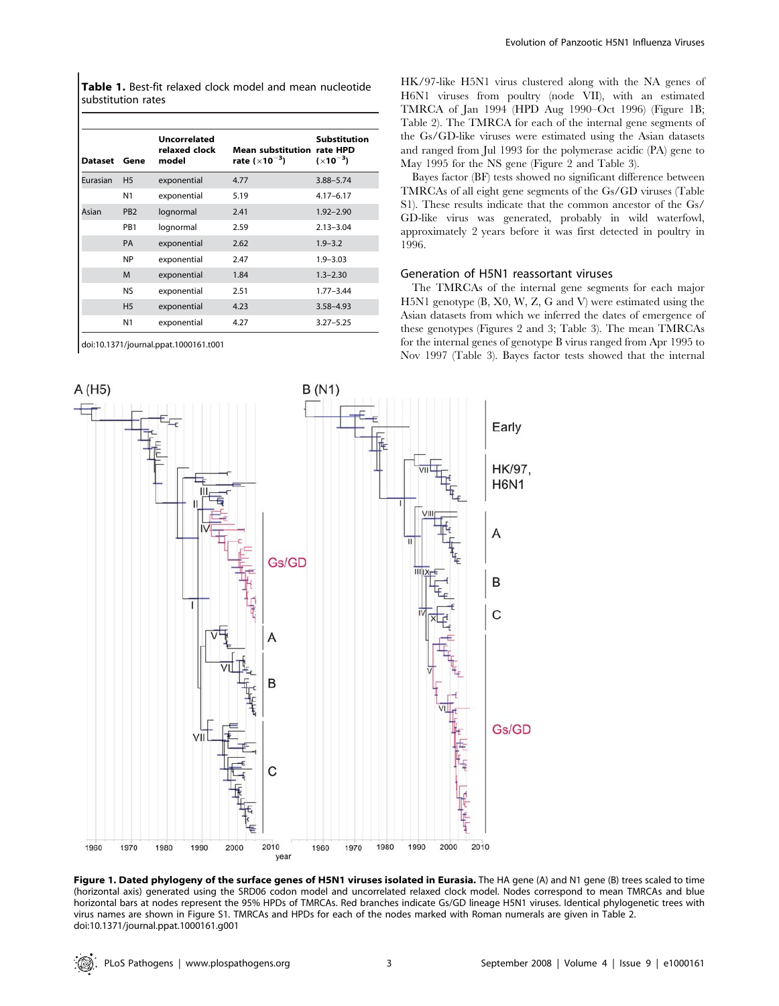Table 1. Best-fit relaxed clock model and mean nucleotide substitution rates

| <b>Dataset</b> | Gene            | <b>Uncorrelated</b><br>relaxed clock<br>model | <b>Mean substitution rate HPD</b><br>rate $(x10^{-3})$ | Substitution<br>$(x10^{-3})$ |
|----------------|-----------------|-----------------------------------------------|--------------------------------------------------------|------------------------------|
| Eurasian       | H <sub>5</sub>  | exponential                                   | 4.77                                                   | 3.88-5.74                    |
|                | N <sub>1</sub>  | exponential                                   | 5.19                                                   | $4.17 - 6.17$                |
| Asian          | PB <sub>2</sub> | lognormal                                     | 2.41                                                   | $1.92 - 2.90$                |
|                | PB <sub>1</sub> | lognormal                                     | 2.59                                                   | $2.13 - 3.04$                |
|                | PA              | exponential                                   | 2.62                                                   | $1.9 - 3.2$                  |
|                | <b>NP</b>       | exponential                                   | 2.47                                                   | $1.9 - 3.03$                 |
|                | M               | exponential                                   | 1.84                                                   | $1.3 - 2.30$                 |
|                | <b>NS</b>       | exponential                                   | 2.51                                                   | $1.77 - 3.44$                |
|                | H <sub>5</sub>  | exponential                                   | 4.23                                                   | $3.58 - 4.93$                |
|                | N <sub>1</sub>  | exponential                                   | 4.27                                                   | $3.27 - 5.25$                |

doi:10.1371/journal.ppat.1000161.t001

HK/97-like H5N1 virus clustered along with the NA genes of H6N1 viruses from poultry (node VII), with an estimated TMRCA of Jan 1994 (HPD Aug 1990–Oct 1996) (Figure 1B; Table 2). The TMRCA for each of the internal gene segments of the Gs/GD-like viruses were estimated using the Asian datasets and ranged from Jul 1993 for the polymerase acidic (PA) gene to May 1995 for the NS gene (Figure 2 and Table 3).

Bayes factor (BF) tests showed no significant difference between TMRCAs of all eight gene segments of the Gs/GD viruses (Table S1). These results indicate that the common ancestor of the Gs/ GD-like virus was generated, probably in wild waterfowl, approximately 2 years before it was first detected in poultry in 1996.

#### Generation of H5N1 reassortant viruses

The TMRCAs of the internal gene segments for each major H5N1 genotype (B, X0, W, Z, G and V) were estimated using the Asian datasets from which we inferred the dates of emergence of these genotypes (Figures 2 and 3; Table 3). The mean TMRCAs for the internal genes of genotype B virus ranged from Apr 1995 to Nov 1997 (Table 3). Bayes factor tests showed that the internal



Figure 1. Dated phylogeny of the surface genes of H5N1 viruses isolated in Eurasia. The HA gene (A) and N1 gene (B) trees scaled to time (horizontal axis) generated using the SRD06 codon model and uncorrelated relaxed clock model. Nodes correspond to mean TMRCAs and blue horizontal bars at nodes represent the 95% HPDs of TMRCAs. Red branches indicate Gs/GD lineage H5N1 viruses. Identical phylogenetic trees with virus names are shown in Figure S1. TMRCAs and HPDs for each of the nodes marked with Roman numerals are given in Table 2. doi:10.1371/journal.ppat.1000161.g001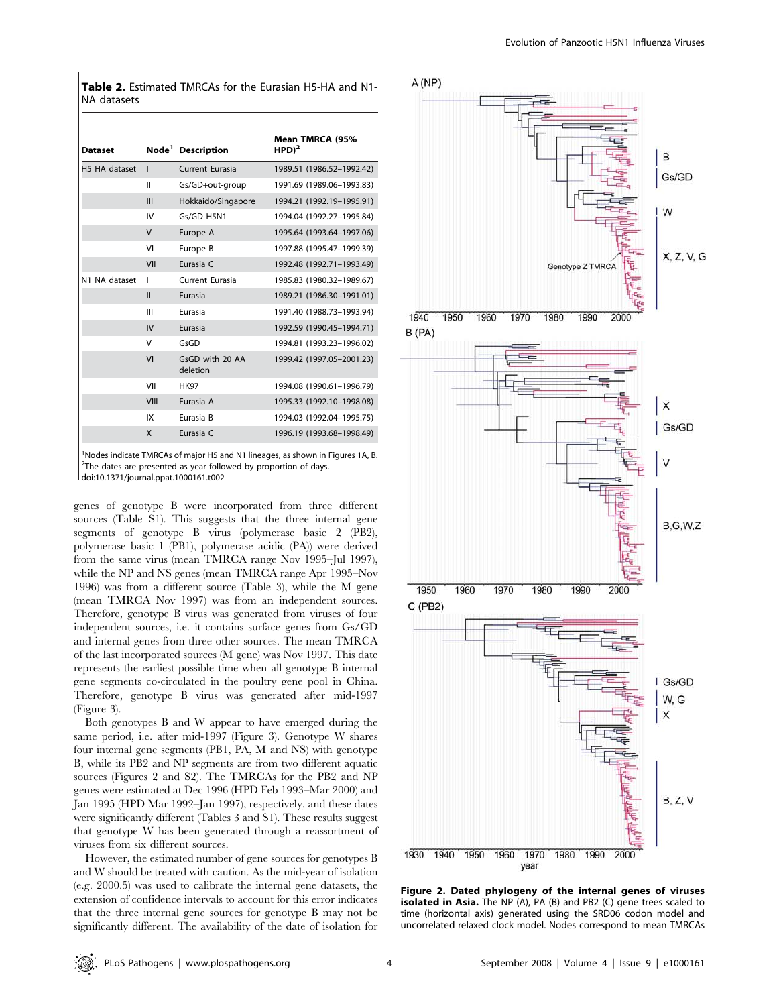Table 2. Estimated TMRCAs for the Eurasian H5-HA and N1-NA datasets

| <b>Dataset</b> |                | Node <sup>1</sup> Description | Mean TMRCA (95%<br>$HPD)^2$ |
|----------------|----------------|-------------------------------|-----------------------------|
| H5 HA dataset  | $\mathbf{I}$   | Current Eurasia               | 1989.51 (1986.52-1992.42)   |
|                | Ш              | Gs/GD+out-group               | 1991.69 (1989.06-1993.83)   |
|                | III            | Hokkaido/Singapore            | 1994.21 (1992.19-1995.91)   |
|                | IV             | Gs/GD H5N1                    | 1994.04 (1992.27-1995.84)   |
|                | $\vee$         | Europe A                      | 1995.64 (1993.64-1997.06)   |
|                | VI             | Europe B                      | 1997.88 (1995.47-1999.39)   |
|                | VII            | Furasia C                     | 1992.48 (1992.71-1993.49)   |
| N1 NA dataset  | T              | Current Eurasia               | 1985.83 (1980.32-1989.67)   |
|                | $\mathbf{I}$   | <b>Furasia</b>                | 1989.21 (1986.30-1991.01)   |
|                | Ш              | Eurasia                       | 1991.40 (1988.73-1993.94)   |
|                | IV             | Eurasia                       | 1992.59 (1990.45-1994.71)   |
|                | $\mathsf{V}$   | GsGD                          | 1994.81 (1993.23-1996.02)   |
|                | V <sub>1</sub> | GsGD with 20 AA<br>deletion   | 1999.42 (1997.05-2001.23)   |
|                | VII            | <b>HK97</b>                   | 1994.08 (1990.61-1996.79)   |
|                | VIII           | Furasia A                     | 1995.33 (1992.10-1998.08)   |
|                | IX             | Eurasia B                     | 1994.03 (1992.04-1995.75)   |
|                | X              | Furasia C                     | 1996.19 (1993.68-1998.49)   |

<sup>1</sup>Nodes indicate TMRCAs of major H5 and N1 lineages, as shown in Figures 1A, B. <sup>2</sup>The dates are presented as year followed by proportion of days. doi:10.1371/journal.ppat.1000161.t002

genes of genotype B were incorporated from three different sources (Table S1). This suggests that the three internal gene segments of genotype B virus (polymerase basic 2 (PB2), polymerase basic 1 (PB1), polymerase acidic (PA)) were derived from the same virus (mean TMRCA range Nov 1995–Jul 1997), while the NP and NS genes (mean TMRCA range Apr 1995–Nov 1996) was from a different source (Table 3), while the M gene (mean TMRCA Nov 1997) was from an independent sources. Therefore, genotype B virus was generated from viruses of four independent sources, i.e. it contains surface genes from Gs/GD and internal genes from three other sources. The mean TMRCA of the last incorporated sources (M gene) was Nov 1997. This date represents the earliest possible time when all genotype B internal gene segments co-circulated in the poultry gene pool in China. Therefore, genotype B virus was generated after mid-1997 (Figure 3).

Both genotypes B and W appear to have emerged during the same period, i.e. after mid-1997 (Figure 3). Genotype W shares four internal gene segments (PB1, PA, M and NS) with genotype B, while its PB2 and NP segments are from two different aquatic sources (Figures 2 and S2). The TMRCAs for the PB2 and NP genes were estimated at Dec 1996 (HPD Feb 1993–Mar 2000) and Jan 1995 (HPD Mar 1992–Jan 1997), respectively, and these dates were significantly different (Tables 3 and S1). These results suggest that genotype W has been generated through a reassortment of viruses from six different sources.

However, the estimated number of gene sources for genotypes B and W should be treated with caution. As the mid-year of isolation (e.g. 2000.5) was used to calibrate the internal gene datasets, the extension of confidence intervals to account for this error indicates that the three internal gene sources for genotype B may not be significantly different. The availability of the date of isolation for



Figure 2. Dated phylogeny of the internal genes of viruses isolated in Asia. The NP (A), PA (B) and PB2 (C) gene trees scaled to time (horizontal axis) generated using the SRD06 codon model and uncorrelated relaxed clock model. Nodes correspond to mean TMRCAs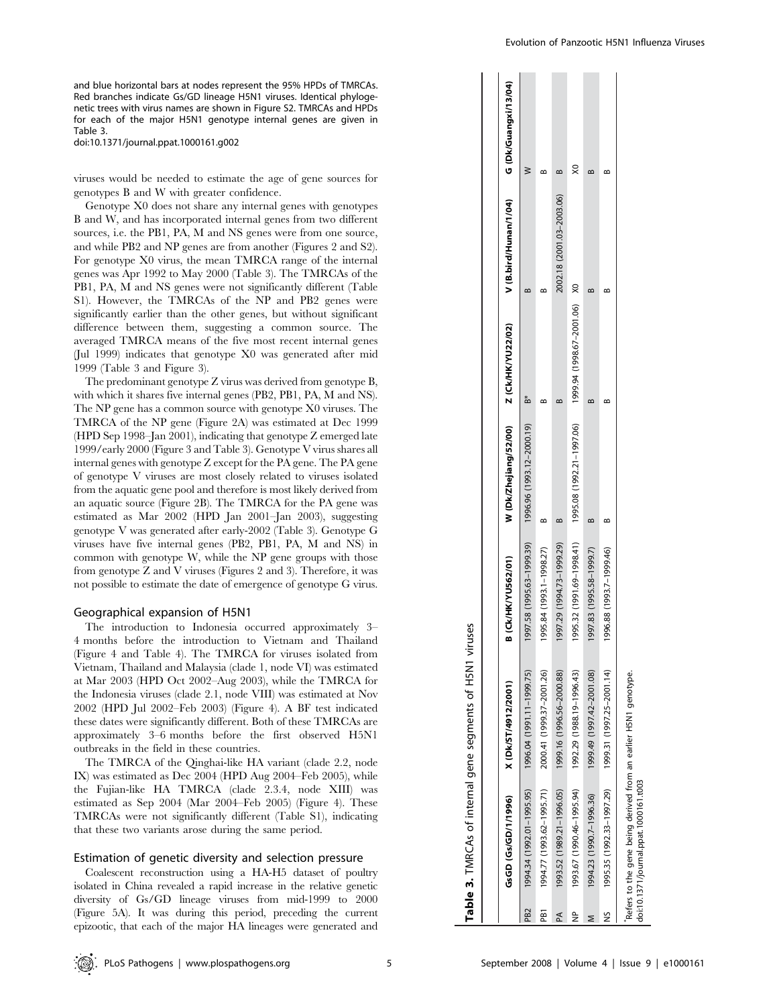and blue horizontal bars at nodes represent the 95% HPDs of TMRCAs. Red branches indicate Gs/GD lineage H5N1 viruses. Identical phylogenetic trees with virus names are shown in Figure S2. TMRCAs and HPDs for each of the major H5N1 genotype internal genes are given in Table 3.

doi:10.1371/journal.ppat.1000161.g002

viruses would be needed to estimate the age of gene sources for genotypes B and W with greater confidence.

Genotype X0 does not share any internal genes with genotypes B and W, and has incorporated internal genes from two different sources, i.e. the PB1, PA, M and NS genes were from one source, and while PB2 and NP genes are from another (Figures 2 and S2). For genotype X0 virus, the mean TMRCA range of the internal genes was Apr 1992 to May 2000 (Table 3). The TMRCAs of the PB1, PA, M and NS genes were not significantly different (Table S1). However, the TMRCAs of the NP and PB2 genes were significantly earlier than the other genes, but without significant difference between them, suggesting a common source. The averaged TMRCA means of the five most recent internal genes (Jul 1999) indicates that genotype X0 was generated after mid 1999 (Table 3 and Figure 3).

The predominant genotype Z virus was derived from genotype B, with which it shares five internal genes (PB2, PB1, PA, M and NS). The NP gene has a common source with genotype X0 viruses. The TMRCA of the NP gene (Figure 2A) was estimated at Dec 1999 (HPD Sep 1998–Jan 2001), indicating that genotype Z emerged late 1999/early 2000 (Figure 3 and Table 3). Genotype V virus shares all internal genes with genotype Z except for the PA gene. The PA gene of genotype V viruses are most closely related to viruses isolated from the aquatic gene pool and therefore is most likely derived from an aquatic source (Figure 2B). The TMRCA for the PA gene was estimated as Mar 2002 (HPD Jan 2001–Jan 2003), suggesting genotype V was generated after early-2002 (Table 3). Genotype G viruses have five internal genes (PB2, PB1, PA, M and NS) in common with genotype W, while the NP gene groups with those from genotype Z and V viruses (Figures 2 and 3). Therefore, it was not possible to estimate the date of emergence of genotype G virus.

#### Geographical expansion of H5N1

The introduction to Indonesia occurred approximately 3– 4 months before the introduction to Vietnam and Thailand (Figure 4 and Table 4). The TMRCA for viruses isolated from Vietnam, Thailand and Malaysia (clade 1, node VI) was estimated at Mar 2003 (HPD Oct 2002–Aug 2003), while the TMRCA for the Indonesia viruses (clade 2.1, node VIII) was estimated at Nov 2002 (HPD Jul 2002–Feb 2003) (Figure 4). A BF test indicated these dates were significantly different. Both of these TMRCAs are approximately 3–6 months before the first observed H5N1 outbreaks in the field in these countries.

The TMRCA of the Qinghai-like HA variant (clade 2.2, node IX) was estimated as Dec 2004 (HPD Aug 2004–Feb 2005), while the Fujian-like HA TMRCA (clade 2.3.4, node XIII) was estimated as Sep 2004 (Mar 2004–Feb 2005) (Figure 4). These TMRCAs were not significantly different (Table S1), indicating that these two variants arose during the same period.

## Estimation of genetic diversity and selection pressure

Coalescent reconstruction using a HA-H5 dataset of poultry isolated in China revealed a rapid increase in the relative genetic diversity of Gs/GD lineage viruses from mid-1999 to 2000 (Figure 5A). It was during this period, preceding the current epizootic, that each of the major HA lineages were generated and

|                 | GsGD (Gs/GD/1/1996)                                             | X (Dk/ST/4912/2001)       | (Ck/HK/YU562/01)          | W (Dk/Zhejiang/52/00) Z (Ck/HK/YU22/02)             |                          | V (B.bird/Hunan/1/04) G (Dk/Guangxi/13/04) |           |
|-----------------|-----------------------------------------------------------------|---------------------------|---------------------------|-----------------------------------------------------|--------------------------|--------------------------------------------|-----------|
| PB <sub>2</sub> | 1994.34 (1992.01-1995.95)                                       | 1996.04 (1991.11-1999.75) |                           | 1997.58 (1995.63-1999.39) 1996.96 (1993.12-2000.19) |                          |                                            |           |
| PB <sub>1</sub> | 1994.77 (1993.62-1995.71)                                       | 2000.41 (1999.37-2001.26) | 1995.84 (1993.1-1998.27)  | ≃                                                   |                          |                                            |           |
|                 | 1993.52 (1989.21-1996.05)                                       | 1999.16 (1996.56-2000.88) | 1997.29 (1994.73-1999.29) | $\mathbf{\Omega}$                                   |                          | 2002.18 (2001.03-2003.06)                  |           |
|                 | 1993.67 (1990.46-1995.94)                                       | 1992.29 (1988.19-1996.43) |                           | 1995.32 (1991.69-1998.41) 1995.08 (1992.21-1997.06) | 0X (9001-098.67-2001.06) |                                            | $\approx$ |
|                 | 1994.23 (1990.7-1996.36)                                        | 1999.49 (1997.42-2001.08) | 1997.83 (1995.58-1999.7)  | $\mathbf{a}$                                        |                          |                                            |           |
|                 | 1995.35 (1992.33-1997.29)                                       | 1999.31 (1997.25-2001.14) | 1996.88 (1993.7-1999.46)  | $\mathbf{r}$                                        |                          |                                            |           |
|                 | Refers to the gene being derived from an earlier H5N1 genotype. |                           |                           |                                                     |                          |                                            |           |

Table 3. TMRCAs of internal gene segments of H5N1 viruses

Table 3. TMRCAs of internal gene segments of H5N1 viruses

doi:10.1371/journal.ppat.1000161.t003

doi:10.1371/journal.ppat.1000161.t003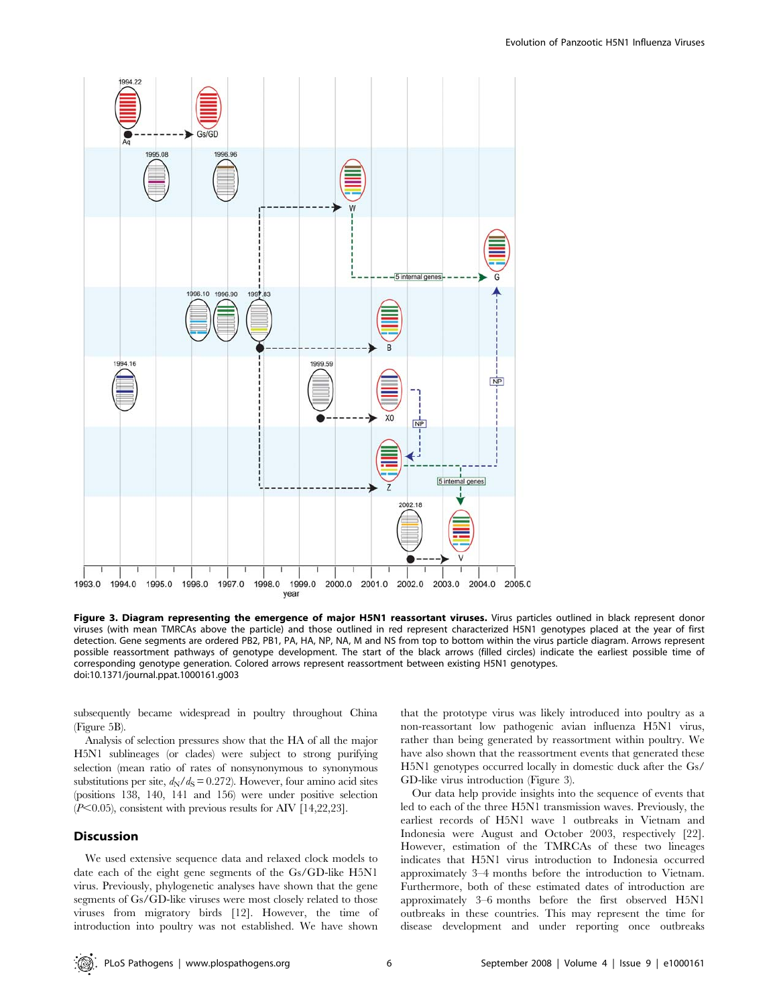

Figure 3. Diagram representing the emergence of major H5N1 reassortant viruses. Virus particles outlined in black represent donor viruses (with mean TMRCAs above the particle) and those outlined in red represent characterized H5N1 genotypes placed at the year of first detection. Gene segments are ordered PB2, PB1, PA, HA, NP, NA, M and NS from top to bottom within the virus particle diagram. Arrows represent possible reassortment pathways of genotype development. The start of the black arrows (filled circles) indicate the earliest possible time of corresponding genotype generation. Colored arrows represent reassortment between existing H5N1 genotypes. doi:10.1371/journal.ppat.1000161.g003

subsequently became widespread in poultry throughout China (Figure 5B).

Analysis of selection pressures show that the HA of all the major H5N1 sublineages (or clades) were subject to strong purifying selection (mean ratio of rates of nonsynonymous to synonymous substitutions per site,  $d_N/d_S = 0.272$ ). However, four amino acid sites (positions 138, 140, 141 and 156) were under positive selection  $(P<0.05)$ , consistent with previous results for AIV [14,22,23].

#### **Discussion**

We used extensive sequence data and relaxed clock models to date each of the eight gene segments of the Gs/GD-like H5N1 virus. Previously, phylogenetic analyses have shown that the gene segments of Gs/GD-like viruses were most closely related to those viruses from migratory birds [12]. However, the time of introduction into poultry was not established. We have shown that the prototype virus was likely introduced into poultry as a non-reassortant low pathogenic avian influenza H5N1 virus, rather than being generated by reassortment within poultry. We have also shown that the reassortment events that generated these H5N1 genotypes occurred locally in domestic duck after the Gs/ GD-like virus introduction (Figure 3).

Our data help provide insights into the sequence of events that led to each of the three H5N1 transmission waves. Previously, the earliest records of H5N1 wave 1 outbreaks in Vietnam and Indonesia were August and October 2003, respectively [22]. However, estimation of the TMRCAs of these two lineages indicates that H5N1 virus introduction to Indonesia occurred approximately 3–4 months before the introduction to Vietnam. Furthermore, both of these estimated dates of introduction are approximately 3–6 months before the first observed H5N1 outbreaks in these countries. This may represent the time for disease development and under reporting once outbreaks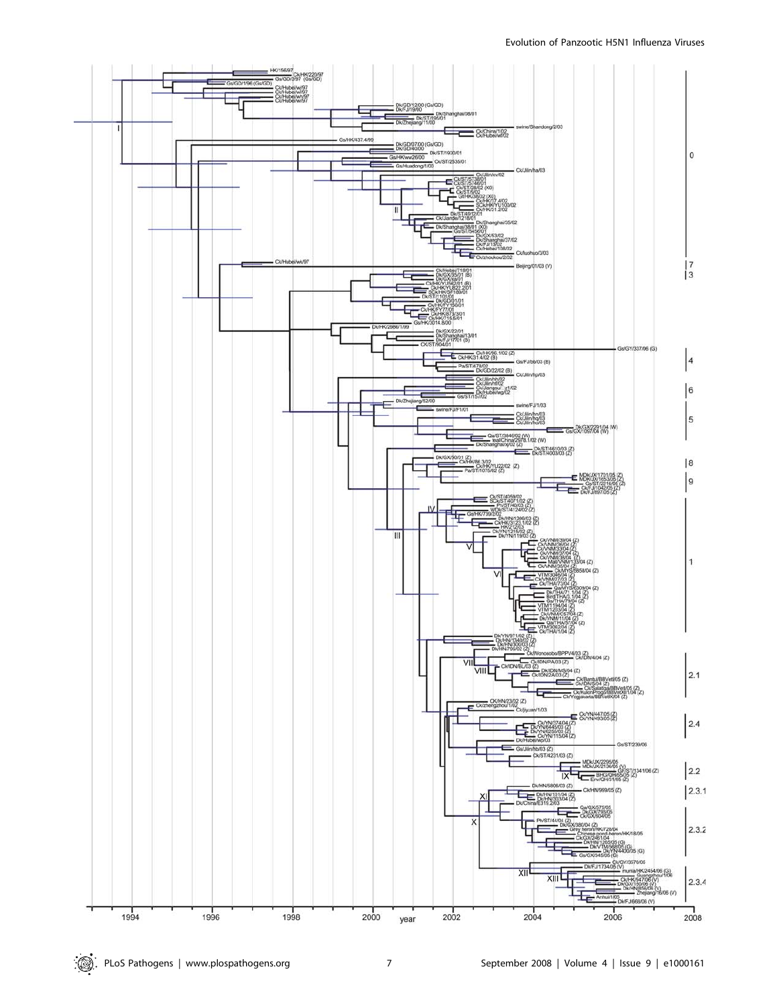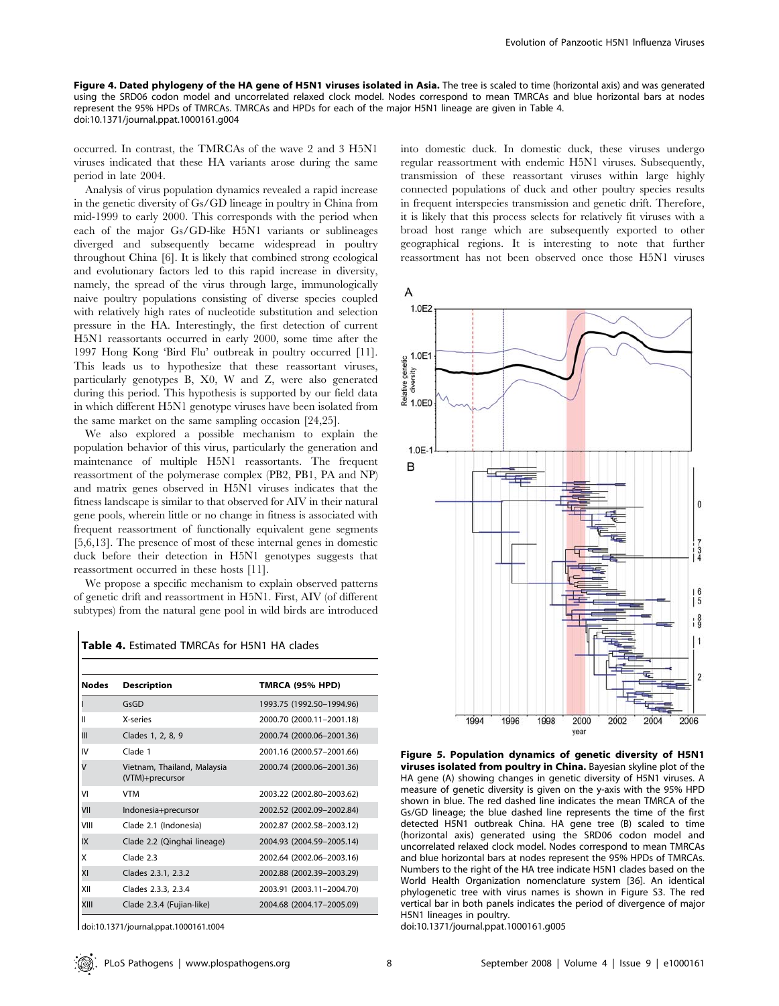Figure 4. Dated phylogeny of the HA gene of H5N1 viruses isolated in Asia. The tree is scaled to time (horizontal axis) and was generated using the SRD06 codon model and uncorrelated relaxed clock model. Nodes correspond to mean TMRCAs and blue horizontal bars at nodes represent the 95% HPDs of TMRCAs. TMRCAs and HPDs for each of the major H5N1 lineage are given in Table 4. doi:10.1371/journal.ppat.1000161.g004

occurred. In contrast, the TMRCAs of the wave 2 and 3 H5N1 viruses indicated that these HA variants arose during the same period in late 2004.

Analysis of virus population dynamics revealed a rapid increase in the genetic diversity of Gs/GD lineage in poultry in China from mid-1999 to early 2000. This corresponds with the period when each of the major Gs/GD-like H5N1 variants or sublineages diverged and subsequently became widespread in poultry throughout China [6]. It is likely that combined strong ecological and evolutionary factors led to this rapid increase in diversity, namely, the spread of the virus through large, immunologically naive poultry populations consisting of diverse species coupled with relatively high rates of nucleotide substitution and selection pressure in the HA. Interestingly, the first detection of current H5N1 reassortants occurred in early 2000, some time after the 1997 Hong Kong 'Bird Flu' outbreak in poultry occurred [11]. This leads us to hypothesize that these reassortant viruses, particularly genotypes B, X0, W and Z, were also generated during this period. This hypothesis is supported by our field data in which different H5N1 genotype viruses have been isolated from the same market on the same sampling occasion [24,25].

We also explored a possible mechanism to explain the population behavior of this virus, particularly the generation and maintenance of multiple H5N1 reassortants. The frequent reassortment of the polymerase complex (PB2, PB1, PA and NP) and matrix genes observed in H5N1 viruses indicates that the fitness landscape is similar to that observed for AIV in their natural gene pools, wherein little or no change in fitness is associated with frequent reassortment of functionally equivalent gene segments [5,6,13]. The presence of most of these internal genes in domestic duck before their detection in H5N1 genotypes suggests that reassortment occurred in these hosts [11].

We propose a specific mechanism to explain observed patterns of genetic drift and reassortment in H5N1. First, AIV (of different subtypes) from the natural gene pool in wild birds are introduced

| <b>Nodes</b> | <b>Description</b>                             | <b>TMRCA (95% HPD)</b>    |
|--------------|------------------------------------------------|---------------------------|
|              | GsGD                                           | 1993.75 (1992.50-1994.96) |
| Ш            | X-series                                       | 2000.70 (2000.11-2001.18) |
| Ш            | Clades 1, 2, 8, 9                              | 2000.74 (2000.06-2001.36) |
| IV           | Clade 1                                        | 2001.16 (2000.57-2001.66) |
| V            | Vietnam, Thailand, Malaysia<br>(VTM)+precursor | 2000.74 (2000.06-2001.36) |
| ٧I           | <b>VTM</b>                                     | 2003.22 (2002.80-2003.62) |
| VII          | Indonesia+precursor                            | 2002.52 (2002.09-2002.84) |
| VIII         | Clade 2.1 (Indonesia)                          | 2002.87 (2002.58-2003.12) |
| IX           | Clade 2.2 (Qinghai lineage)                    | 2004.93 (2004.59-2005.14) |
| Χ            | $C$ lade $2.3$                                 | 2002.64 (2002.06-2003.16) |
| ΧI           | Clades 2.3.1, 2.3.2                            | 2002.88 (2002.39-2003.29) |
| XII          | Clades 2.3.3, 2.3.4                            | 2003.91 (2003.11-2004.70) |
| XIII         | Clade 2.3.4 (Fujian-like)                      | 2004.68 (2004.17-2005.09) |

#### Table 4. Estimated TMRCAs for H5N1 HA clades

doi:10.1371/journal.ppat.1000161.t004

into domestic duck. In domestic duck, these viruses undergo regular reassortment with endemic H5N1 viruses. Subsequently, transmission of these reassortant viruses within large highly connected populations of duck and other poultry species results in frequent interspecies transmission and genetic drift. Therefore, it is likely that this process selects for relatively fit viruses with a broad host range which are subsequently exported to other geographical regions. It is interesting to note that further reassortment has not been observed once those H5N1 viruses



Figure 5. Population dynamics of genetic diversity of H5N1 viruses isolated from poultry in China. Bayesian skyline plot of the HA gene (A) showing changes in genetic diversity of H5N1 viruses. A measure of genetic diversity is given on the y-axis with the 95% HPD shown in blue. The red dashed line indicates the mean TMRCA of the Gs/GD lineage; the blue dashed line represents the time of the first detected H5N1 outbreak China. HA gene tree (B) scaled to time (horizontal axis) generated using the SRD06 codon model and uncorrelated relaxed clock model. Nodes correspond to mean TMRCAs and blue horizontal bars at nodes represent the 95% HPDs of TMRCAs. Numbers to the right of the HA tree indicate H5N1 clades based on the World Health Organization nomenclature system [36]. An identical phylogenetic tree with virus names is shown in Figure S3. The red vertical bar in both panels indicates the period of divergence of major H5N1 lineages in poultry.

doi:10.1371/journal.ppat.1000161.g005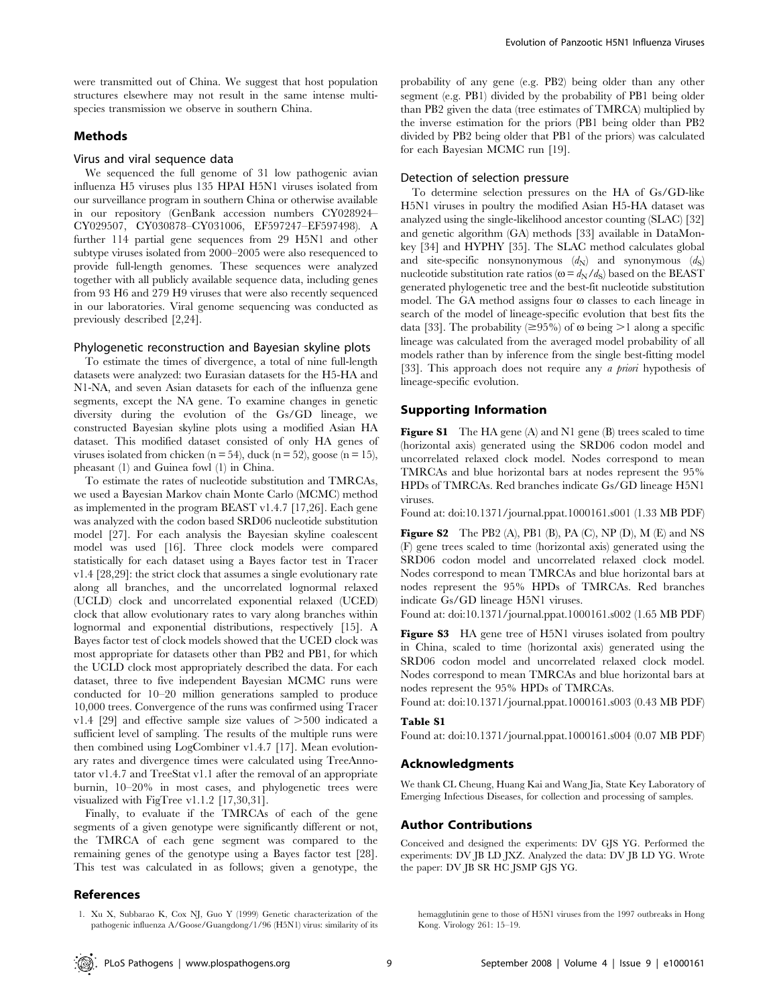were transmitted out of China. We suggest that host population structures elsewhere may not result in the same intense multispecies transmission we observe in southern China.

# Methods

#### Virus and viral sequence data

We sequenced the full genome of 31 low pathogenic avian influenza H5 viruses plus 135 HPAI H5N1 viruses isolated from our surveillance program in southern China or otherwise available in our repository (GenBank accession numbers CY028924– CY029507, CY030878–CY031006, EF597247–EF597498). A further 114 partial gene sequences from 29 H5N1 and other subtype viruses isolated from 2000–2005 were also resequenced to provide full-length genomes. These sequences were analyzed together with all publicly available sequence data, including genes from 93 H6 and 279 H9 viruses that were also recently sequenced in our laboratories. Viral genome sequencing was conducted as previously described [2,24].

#### Phylogenetic reconstruction and Bayesian skyline plots

To estimate the times of divergence, a total of nine full-length datasets were analyzed: two Eurasian datasets for the H5-HA and N1-NA, and seven Asian datasets for each of the influenza gene segments, except the NA gene. To examine changes in genetic diversity during the evolution of the Gs/GD lineage, we constructed Bayesian skyline plots using a modified Asian HA dataset. This modified dataset consisted of only HA genes of viruses isolated from chicken ( $n = 54$ ), duck ( $n = 52$ ), goose ( $n = 15$ ), pheasant (1) and Guinea fowl (1) in China.

To estimate the rates of nucleotide substitution and TMRCAs, we used a Bayesian Markov chain Monte Carlo (MCMC) method as implemented in the program BEAST v1.4.7 [17,26]. Each gene was analyzed with the codon based SRD06 nucleotide substitution model [27]. For each analysis the Bayesian skyline coalescent model was used [16]. Three clock models were compared statistically for each dataset using a Bayes factor test in Tracer v1.4 [28,29]: the strict clock that assumes a single evolutionary rate along all branches, and the uncorrelated lognormal relaxed (UCLD) clock and uncorrelated exponential relaxed (UCED) clock that allow evolutionary rates to vary along branches within lognormal and exponential distributions, respectively [15]. A Bayes factor test of clock models showed that the UCED clock was most appropriate for datasets other than PB2 and PB1, for which the UCLD clock most appropriately described the data. For each dataset, three to five independent Bayesian MCMC runs were conducted for 10–20 million generations sampled to produce 10,000 trees. Convergence of the runs was confirmed using Tracer v1.4 [29] and effective sample size values of  $>500$  indicated a sufficient level of sampling. The results of the multiple runs were then combined using LogCombiner v1.4.7 [17]. Mean evolutionary rates and divergence times were calculated using TreeAnnotator v1.4.7 and TreeStat v1.1 after the removal of an appropriate burnin, 10–20% in most cases, and phylogenetic trees were visualized with FigTree v1.1.2 [17,30,31].

Finally, to evaluate if the TMRCAs of each of the gene segments of a given genotype were significantly different or not, the TMRCA of each gene segment was compared to the remaining genes of the genotype using a Bayes factor test [28]. This test was calculated in as follows; given a genotype, the

#### References

probability of any gene (e.g. PB2) being older than any other segment (e.g. PB1) divided by the probability of PB1 being older than PB2 given the data (tree estimates of TMRCA) multiplied by the inverse estimation for the priors (PB1 being older than PB2 divided by PB2 being older that PB1 of the priors) was calculated for each Bayesian MCMC run [19].

# Detection of selection pressure

To determine selection pressures on the HA of Gs/GD-like H5N1 viruses in poultry the modified Asian H5-HA dataset was analyzed using the single-likelihood ancestor counting (SLAC) [32] and genetic algorithm (GA) methods [33] available in DataMonkey [34] and HYPHY [35]. The SLAC method calculates global and site-specific nonsynonymous  $(d_N)$  and synonymous  $(d_S)$ nucleotide substitution rate ratios ( $\omega = d_N/d_S$ ) based on the BEAST generated phylogenetic tree and the best-fit nucleotide substitution model. The GA method assigns four  $\omega$  classes to each lineage in search of the model of lineage-specific evolution that best fits the data [33]. The probability ( $\geq$ 95%) of  $\omega$  being  $>1$  along a specific lineage was calculated from the averaged model probability of all models rather than by inference from the single best-fitting model [33]. This approach does not require any *a priori* hypothesis of lineage-specific evolution.

# Supporting Information

Figure S1 The HA gene (A) and N1 gene (B) trees scaled to time (horizontal axis) generated using the SRD06 codon model and uncorrelated relaxed clock model. Nodes correspond to mean TMRCAs and blue horizontal bars at nodes represent the 95% HPDs of TMRCAs. Red branches indicate Gs/GD lineage H5N1 viruses.

Found at: doi:10.1371/journal.ppat.1000161.s001 (1.33 MB PDF)

**Figure S2** The PB2 (A), PB1 (B), PA (C), NP (D), M (E) and NS (F) gene trees scaled to time (horizontal axis) generated using the SRD06 codon model and uncorrelated relaxed clock model. Nodes correspond to mean TMRCAs and blue horizontal bars at nodes represent the 95% HPDs of TMRCAs. Red branches indicate Gs/GD lineage H5N1 viruses.

Found at: doi:10.1371/journal.ppat.1000161.s002 (1.65 MB PDF)

Figure S3 HA gene tree of H5N1 viruses isolated from poultry in China, scaled to time (horizontal axis) generated using the SRD06 codon model and uncorrelated relaxed clock model. Nodes correspond to mean TMRCAs and blue horizontal bars at nodes represent the 95% HPDs of TMRCAs.

Found at: doi:10.1371/journal.ppat.1000161.s003 (0.43 MB PDF)

## Table S1

Found at: doi:10.1371/journal.ppat.1000161.s004 (0.07 MB PDF)

# Acknowledgments

We thank CL Cheung, Huang Kai and Wang Jia, State Key Laboratory of Emerging Infectious Diseases, for collection and processing of samples.

# Author Contributions

Conceived and designed the experiments: DV GJS YG. Performed the experiments: DV JB LD JXZ. Analyzed the data: DV JB LD YG. Wrote the paper: DV JB SR HC JSMP GJS YG.

hemagglutinin gene to those of H5N1 viruses from the 1997 outbreaks in Hong Kong. Virology 261: 15–19.

<sup>1.</sup> Xu X, Subbarao K, Cox NJ, Guo Y (1999) Genetic characterization of the pathogenic influenza A/Goose/Guangdong/1/96 (H5N1) virus: similarity of its